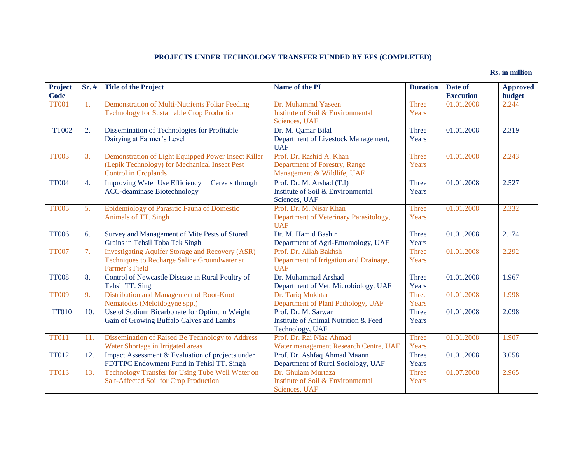## **PROJECTS UNDER TECHNOLOGY TRANSFER FUNDED BY EFS (COMPLETED)**

## **Rs. in million**

| <b>Project</b> | $Sr.$ #          | <b>Title of the Project</b>                             | Name of the PI                                    | <b>Duration</b> | Date of          | <b>Approved</b> |
|----------------|------------------|---------------------------------------------------------|---------------------------------------------------|-----------------|------------------|-----------------|
| Code           |                  |                                                         |                                                   |                 | <b>Execution</b> | <b>budget</b>   |
| <b>TT001</b>   | 1.               | Demonstration of Multi-Nutrients Foliar Feeding         | Dr. Muhammd Yaseen                                | Three           | 01.01.2008       | 2.244           |
|                |                  | <b>Technology for Sustainable Crop Production</b>       | Institute of Soil & Environmental                 | Years           |                  |                 |
|                |                  |                                                         | Sciences, UAF                                     |                 |                  |                 |
| <b>TT002</b>   | 2.               | Dissemination of Technologies for Profitable            | Dr. M. Qamar Bilal                                | <b>Three</b>    | 01.01.2008       | 2.319           |
|                |                  | Dairying at Farmer's Level                              | Department of Livestock Management,<br><b>UAF</b> | Years           |                  |                 |
| <b>TT003</b>   | 3.               | Demonstration of Light Equipped Power Insect Killer     | Prof. Dr. Rashid A. Khan                          | Three           | 01.01.2008       | 2.243           |
|                |                  | (Lepik Technology) for Mechanical Insect Pest           | Department of Forestry, Range                     | Years           |                  |                 |
|                |                  | <b>Control</b> in Croplands                             | Management & Wildlife, UAF                        |                 |                  |                 |
| <b>TT004</b>   | 4.               | Improving Water Use Efficiency in Cereals through       | Prof. Dr. M. Arshad (T.I)                         | <b>Three</b>    | 01.01.2008       | 2.527           |
|                |                  | <b>ACC-deaminase Biotechnology</b>                      | Institute of Soil & Environmental                 | Years           |                  |                 |
|                |                  |                                                         | Sciences, UAF                                     |                 |                  |                 |
| <b>TT005</b>   | 5.               | Epidemiology of Parasitic Fauna of Domestic             | Prof. Dr. M. Nisar Khan                           | Three           | 01.01.2008       | 2.332           |
|                |                  | Animals of TT. Singh                                    | Department of Veterinary Parasitology,            | Years           |                  |                 |
|                |                  |                                                         | <b>UAF</b>                                        |                 |                  |                 |
| <b>TT006</b>   | 6.               | Survey and Management of Mite Pests of Stored           | Dr. M. Hamid Bashir                               | Three           | 01.01.2008       | 2.174           |
|                |                  | Grains in Tehsil Toba Tek Singh                         | Department of Agri-Entomology, UAF                | Years           |                  |                 |
| <b>TT007</b>   | 7.               | <b>Investigating Aquifer Storage and Recovery (ASR)</b> | Prof. Dr. Allah Bakhsh                            | Three           | 01.01.2008       | 2.292           |
|                |                  | Techniques to Recharge Saline Groundwater at            | Department of Irrigation and Drainage,            | Years           |                  |                 |
|                |                  | Farmer's Field                                          | <b>UAF</b>                                        |                 |                  |                 |
| <b>TT008</b>   | $\overline{8}$ . | Control of Newcastle Disease in Rural Poultry of        | Dr. Muhammad Arshad                               | Three           | 01.01.2008       | 1.967           |
|                |                  | Tehsil TT. Singh                                        | Department of Vet. Microbiology, UAF              | Years           |                  |                 |
| <b>TT009</b>   | 9.               | Distribution and Management of Root-Knot                | Dr. Tariq Mukhtar                                 | Three           | 01.01.2008       | 1.998           |
|                |                  | Nematodes (Meloidogyne spp.)                            | Department of Plant Pathology, UAF                | Years           |                  |                 |
| <b>TT010</b>   | 10.              | Use of Sodium Bicarbonate for Optimum Weight            | Prof. Dr. M. Sarwar                               | Three           | 01.01.2008       | 2.098           |
|                |                  | Gain of Growing Buffalo Calves and Lambs                | <b>Institute of Animal Nutrition &amp; Feed</b>   | Years           |                  |                 |
|                |                  |                                                         | Technology, UAF                                   |                 |                  |                 |
| <b>TT011</b>   | 11.              | Dissemination of Raised Be Technology to Address        | Prof. Dr. Rai Niaz Ahmad                          | Three           | 01.01.2008       | 1.907           |
|                |                  | Water Shortage in Irrigated areas                       | Water management Research Centre, UAF             | Years           |                  |                 |
| <b>TT012</b>   | 12.              | Impact Assessment & Evaluation of projects under        | Prof. Dr. Ashfaq Ahmad Maann                      | <b>Three</b>    | 01.01.2008       | 3.058           |
|                |                  | FDTTPC Endowment Fund in Tehisl TT. Singh               | Department of Rural Sociology, UAF                | Years           |                  |                 |
| <b>TT013</b>   | 13.              | Technology Transfer for Using Tube Well Water on        | Dr. Ghulam Murtaza                                | <b>Three</b>    | 01.07.2008       | 2.965           |
|                |                  | Salt-Affected Soil for Crop Production                  | Institute of Soil & Environmental                 | Years           |                  |                 |
|                |                  |                                                         | Sciences, UAF                                     |                 |                  |                 |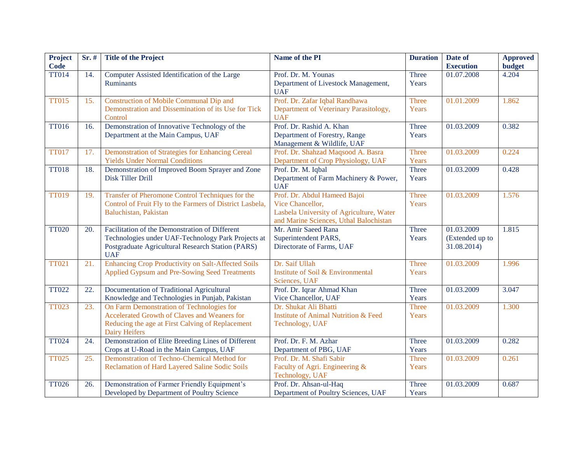| Project<br><b>Code</b> | Sr. # | <b>Title of the Project</b>                                       | Name of the PI                                              | <b>Duration</b> | Date of<br><b>Execution</b> | <b>Approved</b><br>budget |
|------------------------|-------|-------------------------------------------------------------------|-------------------------------------------------------------|-----------------|-----------------------------|---------------------------|
| <b>TT014</b>           | 14.   | Computer Assisted Identification of the Large<br><b>Ruminants</b> | Prof. Dr. M. Younas<br>Department of Livestock Management,  | Three<br>Years  | 01.07.2008                  | 4.204                     |
|                        |       |                                                                   | <b>UAF</b>                                                  |                 |                             |                           |
| <b>TT015</b>           | 15.   | <b>Construction of Mobile Communal Dip and</b>                    | Prof. Dr. Zafar Iqbal Randhawa                              | <b>Three</b>    | 01.01.2009                  | 1.862                     |
|                        |       | Demonstration and Dissemination of its Use for Tick<br>Control    | Department of Veterinary Parasitology,<br><b>UAF</b>        | Years           |                             |                           |
| <b>TT016</b>           | 16.   | Demonstration of Innovative Technology of the                     | Prof. Dr. Rashid A. Khan                                    | Three           | 01.03.2009                  | 0.382                     |
|                        |       | Department at the Main Campus, UAF                                | Department of Forestry, Range<br>Management & Wildlife, UAF | Years           |                             |                           |
| <b>TT017</b>           | 17.   | Demonstration of Strategies for Enhancing Cereal                  | Prof. Dr. Shahzad Maqsood A. Basra                          | <b>Three</b>    | 01.03.2009                  | 0.224                     |
|                        |       | <b>Yields Under Normal Conditions</b>                             | Department of Crop Physiology, UAF                          | Years           |                             |                           |
| <b>TT018</b>           | 18.   | Demonstration of Improved Boom Sprayer and Zone                   | Prof. Dr. M. Iqbal                                          | Three           | 01.03.2009                  | 0.428                     |
|                        |       | Disk Tiller Drill                                                 | Department of Farm Machinery & Power,<br><b>UAF</b>         | Years           |                             |                           |
| <b>TT019</b>           | 19.   | Transfer of Pheromone Control Techniques for the                  | Prof. Dr. Abdul Hameed Bajoi                                | <b>Three</b>    | 01.03.2009                  | 1.576                     |
|                        |       | Control of Fruit Fly to the Farmers of District Lasbela,          | Vice Chancellor,                                            | Years           |                             |                           |
|                        |       | Baluchistan, Pakistan                                             | Lasbela University of Agriculture, Water                    |                 |                             |                           |
|                        |       |                                                                   | and Marine Sciences, Uthal Balochistan                      |                 |                             |                           |
| <b>TT020</b>           | 20.   | Facilitation of the Demonstration of Different                    | Mr. Amir Saeed Rana                                         | Three           | 01.03.2009                  | 1.815                     |
|                        |       | Technologies under UAF-Technology Park Projects at                | Superintendent PARS,                                        | Years           | (Extended up to             |                           |
|                        |       | Postgraduate Agricultural Research Station (PARS)<br><b>UAF</b>   | Directorate of Farms, UAF                                   |                 | 31.08.2014)                 |                           |
| <b>TT021</b>           | 21.   | Enhancing Crop Productivity on Salt-Affected Soils                | Dr. Saif Ullah                                              | <b>Three</b>    | 01.03.2009                  | 1.996                     |
|                        |       | Applied Gypsum and Pre-Sowing Seed Treatments                     | Institute of Soil & Environmental                           | Years           |                             |                           |
|                        |       |                                                                   | Sciences, UAF                                               |                 |                             |                           |
| <b>TT022</b>           | 22.   | Documentation of Traditional Agricultural                         | Prof. Dr. Iqrar Ahmad Khan                                  | Three           | 01.03.2009                  | 3.047                     |
|                        |       | Knowledge and Technologies in Punjab, Pakistan                    | Vice Chancellor, UAF                                        | Years           |                             |                           |
| <b>TT023</b>           | 23.   | On Farm Demonstration of Technologies for                         | Dr. Shukat Ali Bhatti                                       | <b>Three</b>    | 01.03.2009                  | 1.300                     |
|                        |       | Accelerated Growth of Claves and Weaners for                      | <b>Institute of Animal Nutrition &amp; Feed</b>             | Years           |                             |                           |
|                        |       | Reducing the age at First Calving of Replacement                  | Technology, UAF                                             |                 |                             |                           |
|                        |       | Dairy Heifers                                                     |                                                             |                 |                             |                           |
| <b>TT024</b>           | 24.   | Demonstration of Elite Breeding Lines of Different                | Prof. Dr. F. M. Azhar                                       | Three           | 01.03.2009                  | 0.282                     |
|                        |       | Crops at U-Road in the Main Campus, UAF                           | Department of PBG, UAF                                      | Years           |                             |                           |
| <b>TT025</b>           | 25.   | Demonstration of Techno-Chemical Method for                       | Prof. Dr. M. Shafi Sabir                                    | <b>Three</b>    | 01.03.2009                  | 0.261                     |
|                        |       | Reclamation of Hard Layered Saline Sodic Soils                    | Faculty of Agri. Engineering &                              | Years           |                             |                           |
|                        |       |                                                                   | Technology, UAF                                             |                 |                             |                           |
| <b>TT026</b>           | 26.   | Demonstration of Farmer Friendly Equipment's                      | Prof. Dr. Ahsan-ul-Haq                                      | Three           | 01.03.2009                  | 0.687                     |
|                        |       | Developed by Department of Poultry Science                        | Department of Poultry Sciences, UAF                         | Years           |                             |                           |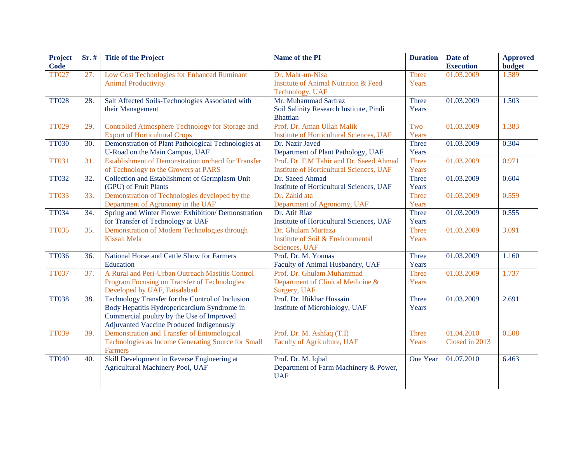| <b>Project</b> | $Sr.$ # | <b>Title of the Project</b>                                | Name of the PI                                  | <b>Duration</b> | Date of          | <b>Approved</b> |
|----------------|---------|------------------------------------------------------------|-------------------------------------------------|-----------------|------------------|-----------------|
| <b>Code</b>    |         |                                                            |                                                 |                 | <b>Execution</b> | <b>budget</b>   |
| <b>TT027</b>   | 27.     | Low Cost Technologies for Enhanced Ruminant                | Dr. Mahr-un-Nisa                                | Three           | 01.03.2009       | 1.589           |
|                |         | <b>Animal Productivity</b>                                 | <b>Institute of Animal Nutrition &amp; Feed</b> | Years           |                  |                 |
|                |         |                                                            | Technology, UAF                                 |                 |                  |                 |
| <b>TT028</b>   | 28.     | Salt Affected Soils-Technologies Associated with           | Mr. Muhammad Sarfraz                            | Three           | 01.03.2009       | 1.503           |
|                |         | their Management                                           | Soil Salinity Research Institute, Pindi         | Years           |                  |                 |
|                |         |                                                            | <b>Bhattian</b>                                 |                 |                  |                 |
| <b>TT029</b>   | 29.     | Controlled Atmosphere Technology for Storage and           | Prof. Dr. Aman Ullah Malik                      | Two             | 01.03.2009       | 1.383           |
|                |         | <b>Export of Horticultural Crops</b>                       | <b>Institute of Horticultural Sciences, UAF</b> | Years           |                  |                 |
| <b>TT030</b>   | 30.     | Demonstration of Plant Pathological Technologies at        | Dr. Nazir Javed                                 | Three           | 01.03.2009       | 0.304           |
|                |         | U-Road on the Main Campus, UAF                             | Department of Plant Pathology, UAF              | Years           |                  |                 |
| <b>TT031</b>   | 31.     | <b>Establishment of Demonstration orchard for Transfer</b> | Prof. Dr. F.M Tahir and Dr. Saeed Ahmad         | Three           | 01.03.2009       | 0.971           |
|                |         | of Technology to the Growers at PARS                       | <b>Institute of Horticultural Sciences, UAF</b> | Years           |                  |                 |
| <b>TT032</b>   | 32.     | Collection and Establishment of Germplasm Unit             | Dr. Saeed Ahmad                                 | Three           | 01.03.2009       | 0.604           |
|                |         | (GPU) of Fruit Plants                                      | Institute of Horticultural Sciences, UAF        | Years           |                  |                 |
| <b>TT033</b>   | 33.     | Demonstration of Technologies developed by the             | Dr. Zahid ata                                   | Three           | 01.03.2009       | 0.559           |
|                |         | Department of Agronomy in the UAF                          | Department of Agronomy, UAF                     | Years           |                  |                 |
| <b>TT034</b>   | 34.     | Spring and Winter Flower Exhibition/ Demonstration         | Dr. Atif Riaz                                   | Three           | 01.03.2009       | 0.555           |
|                |         | for Transfer of Technology at UAF                          | Institute of Horticultural Sciences, UAF        | Years           |                  |                 |
| <b>TT035</b>   | 35.     | Demonstration of Modern Technologies through               | Dr. Ghulam Murtaza                              | <b>Three</b>    | 01.03.2009       | 3.091           |
|                |         | <b>Kissan Mela</b>                                         | Institute of Soil & Environmental               | Years           |                  |                 |
|                |         |                                                            | Sciences, UAF                                   |                 |                  |                 |
| <b>TT036</b>   | 36.     | National Horse and Cattle Show for Farmers                 | Prof. Dr. M. Younas                             | Three           | 01.03.2009       | 1.160           |
|                |         | Education                                                  | Faculty of Animal Husbandry, UAF                | Years           |                  |                 |
| <b>TT037</b>   | 37.     | A Rural and Peri-Urban Outreach Mastitis Control           | Prof. Dr. Ghulam Muhammad                       | <b>Three</b>    | 01.03.2009       | 1.737           |
|                |         | Program Focusing on Transfer of Technologies               | Department of Clinical Medicine &               | Years           |                  |                 |
|                |         | Developed by UAF, Faisalabad                               | Surgery, UAF                                    |                 |                  |                 |
| <b>TT038</b>   | 38.     | Technology Transfer for the Control of Inclusion           | Prof. Dr. Iftikhar Hussain                      | Three           | 01.03.2009       | 2.691           |
|                |         | Body Hepatitis Hydropericardium Syndrome in                | Institute of Microbiology, UAF                  | Years           |                  |                 |
|                |         | Commercial poultry by the Use of Improved                  |                                                 |                 |                  |                 |
|                |         | Adjuvanted Vaccine Produced Indigenously                   |                                                 |                 |                  |                 |
| <b>TT039</b>   | 39.     | Demonstration and Transfer of Entomological                | Prof. Dr. M. Ashfaq (T.I)                       | Three           | 01.04.2010       | 0.508           |
|                |         | Technologies as Income Generating Source for Small         | Faculty of Agriculture, UAF                     | Years           | Closed in 2013   |                 |
|                |         | <b>Farmers</b>                                             |                                                 |                 |                  |                 |
| <b>TT040</b>   | 40.     | Skill Development in Reverse Engineering at                | Prof. Dr. M. Iqbal                              | One Year        | 01.07.2010       | 6.463           |
|                |         | Agricultural Machinery Pool, UAF                           | Department of Farm Machinery & Power,           |                 |                  |                 |
|                |         |                                                            | <b>UAF</b>                                      |                 |                  |                 |
|                |         |                                                            |                                                 |                 |                  |                 |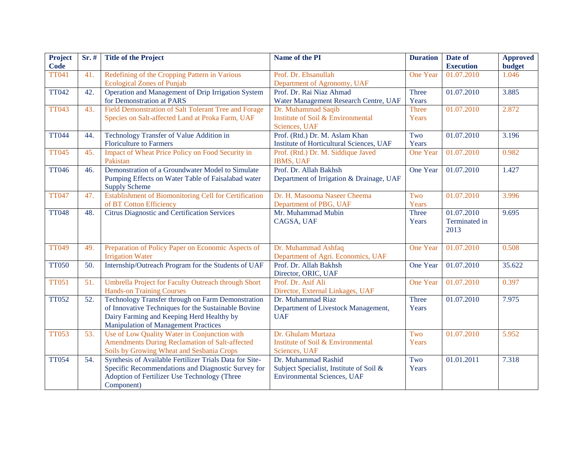| <b>Project</b> | $Sr.$ # | <b>Title of the Project</b>                             | Name of the PI                           | <b>Duration</b> | Date of          | <b>Approved</b> |
|----------------|---------|---------------------------------------------------------|------------------------------------------|-----------------|------------------|-----------------|
| <b>Code</b>    |         |                                                         |                                          |                 | <b>Execution</b> | <b>budget</b>   |
| <b>TT041</b>   | 41.     | Redefining of the Cropping Pattern in Various           | Prof. Dr. Ehsanullah                     | <b>One Year</b> | 01.07.2010       | 1.046           |
|                |         | <b>Ecological Zones of Punjab</b>                       | Department of Agronomy, UAF              |                 |                  |                 |
| <b>TT042</b>   | 42.     | Operation and Management of Drip Irrigation System      | Prof. Dr. Rai Niaz Ahmad                 | Three           | 01.07.2010       | 3.885           |
|                |         | for Demonstration at PARS                               | Water Management Research Centre, UAF    | Years           |                  |                 |
| <b>TT043</b>   | 43.     | Field Demonstration of Salt Tolerant Tree and Forage    | Dr. Muhammad Saqib                       | <b>Three</b>    | 01.07.2010       | 2.872           |
|                |         | Species on Salt-affected Land at Proka Farm, UAF        | Institute of Soil & Environmental        | Years           |                  |                 |
|                |         |                                                         | Sciences, UAF                            |                 |                  |                 |
| <b>TT044</b>   | 44.     | Technology Transfer of Value Addition in                | Prof. (Rtd.) Dr. M. Aslam Khan           | Two             | 01.07.2010       | 3.196           |
|                |         | <b>Floriculture to Farmers</b>                          | Institute of Horticultural Sciences, UAF | Years           |                  |                 |
| <b>TT045</b>   | 45.     | Impact of Wheat Price Policy on Food Security in        | Prof. (Rtd.) Dr. M. Siddique Javed       | <b>One Year</b> | 01.07.2010       | 0.982           |
|                |         | Pakistan                                                | <b>IBMS, UAF</b>                         |                 |                  |                 |
| <b>TT046</b>   | 46.     | Demonstration of a Groundwater Model to Simulate        | Prof. Dr. Allah Bakhsh                   | One Year        | 01.07.2010       | 1.427           |
|                |         | Pumping Effects on Water Table of Faisalabad water      | Department of Irrigation & Drainage, UAF |                 |                  |                 |
|                |         | <b>Supply Scheme</b>                                    |                                          |                 |                  |                 |
| <b>TT047</b>   | 47.     | Establishment of Biomonitoring Cell for Certification   | Dr. H. Masooma Naseer Cheema             | Two             | 01.07.2010       | 3.996           |
|                |         | of BT Cotton Efficiency                                 | Department of PBG, UAF                   | Years           |                  |                 |
| <b>TT048</b>   | 48.     | <b>Citrus Diagnostic and Certification Services</b>     | Mr. Muhammad Mubin                       | Three           | 01.07.2010       | 9.695           |
|                |         |                                                         | CAGSA, UAF                               | Years           | Terminated in    |                 |
|                |         |                                                         |                                          |                 | 2013             |                 |
|                |         |                                                         |                                          |                 |                  |                 |
| <b>TT049</b>   | 49.     | Preparation of Policy Paper on Economic Aspects of      | Dr. Muhammad Ashfaq                      | <b>One Year</b> | 01.07.2010       | 0.508           |
|                |         | <b>Irrigation Water</b>                                 | Department of Agri. Economics, UAF       |                 |                  |                 |
| <b>TT050</b>   | 50.     | Internship/Outreach Program for the Students of UAF     | Prof. Dr. Allah Bakhsh                   | One Year        | 01.07.2010       | 35.622          |
|                |         |                                                         | Director, ORIC, UAF                      |                 |                  |                 |
| <b>TT051</b>   | 51.     | Umbrella Project for Faculty Outreach through Short     | Prof. Dr. Asif Ali                       | <b>One Year</b> | 01.07.2010       | 0.397           |
|                |         | <b>Hands-on Training Courses</b>                        | Director, External Linkages, UAF         |                 |                  |                 |
| <b>TT052</b>   | 52.     | Technology Transfer through on Farm Demonstration       | Dr. Muhammad Riaz                        | Three           | 01.07.2010       | 7.975           |
|                |         | of Innovative Techniques for the Sustainable Bovine     | Department of Livestock Management,      | Years           |                  |                 |
|                |         | Dairy Farming and Keeping Herd Healthy by               | <b>UAF</b>                               |                 |                  |                 |
|                |         | <b>Manipulation of Management Practices</b>             |                                          |                 |                  |                 |
| <b>TT053</b>   | 53.     | Use of Low Quality Water in Conjunction with            | Dr. Ghulam Murtaza                       | Two             | 01.07.2010       | 5.952           |
|                |         | Amendments During Reclamation of Salt-affected          | Institute of Soil & Environmental        | Years           |                  |                 |
|                |         | Soils by Growing Wheat and Sesbania Crops               | Sciences, UAF                            |                 |                  |                 |
| <b>TT054</b>   | 54.     | Synthesis of Available Fertilizer Trials Data for Site- | Dr. Muhammad Rashid                      | Two             | 01.01.2011       | 7.318           |
|                |         | Specific Recommendations and Diagnostic Survey for      | Subject Specialist, Institute of Soil &  | Years           |                  |                 |
|                |         | Adoption of Fertilizer Use Technology (Three            | <b>Environmental Sciences, UAF</b>       |                 |                  |                 |
|                |         | Component)                                              |                                          |                 |                  |                 |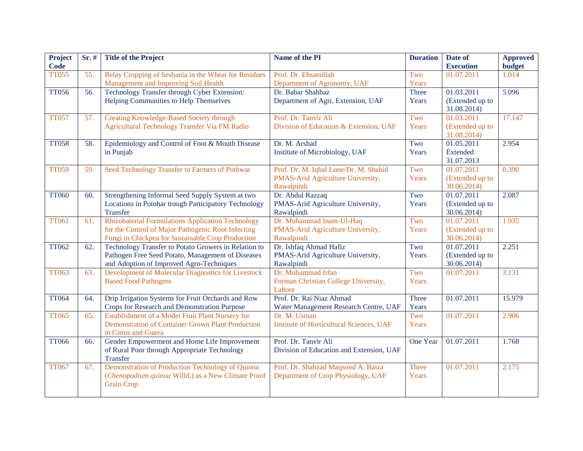| Project<br><b>Code</b> | Sr. # | <b>Title of the Project</b>                                                                                                                                  | Name of the PI                                                                           | <b>Duration</b> | Date of<br><b>Execution</b>                  | <b>Approved</b><br><b>budget</b> |
|------------------------|-------|--------------------------------------------------------------------------------------------------------------------------------------------------------------|------------------------------------------------------------------------------------------|-----------------|----------------------------------------------|----------------------------------|
| <b>TT055</b>           | 55.   | Relay Cropping of Sesbania in the Wheat for Residues<br>Management and Improving Soil Health                                                                 | Prof. Dr. Ehsanullah<br>Department of Agronomy, UAF                                      | Two<br>Years    | 01.07.2011                                   | 1.014                            |
| <b>TT056</b>           | 56.   | Technology Transfer through Cyber Extension:<br>Helping Communities to Help Themselves                                                                       | Dr. Babar Shahbaz<br>Department of Agri. Extension, UAF                                  | Three<br>Years  | 01.03.2011<br>(Extended up to<br>31.08.2014) | 5.096                            |
| <b>TT057</b>           | 57.   | <b>Creating Knowledge-Based Society through</b><br>Agricultural Technology Transfer Via FM Radio                                                             | Prof. Dr. Tanvir Ali<br>Division of Education & Extension, UAF                           | Two<br>Years    | 01.03.2011<br>(Extended up to<br>31.08.2014) | 17.147                           |
| <b>TT058</b>           | 58.   | Epidemiology and Control of Foot & Mouth Disease<br>in Punjab                                                                                                | Dr. M. Arshad<br>Institute of Microbiology, UAF                                          | Two<br>Years    | 01.05.2011<br>Extended<br>31.07.2013         | 2.954                            |
| <b>TT059</b>           | 59.   | Seed Technology Transfer to Farmers of Pothwar                                                                                                               | Prof. Dr. M. Iqbal Lone/Dr. M. Shahid<br>PMAS-Arid Agriculture University,<br>Rawalpindi | Two<br>Years    | 01.07.2011<br>(Extended up to<br>30.06.2014) | 0.390                            |
| <b>TT060</b>           | 60.   | Strengthening Informal Seed Supply System at two<br>Locations in Potohar trough Participatory Technology<br><b>Transfer</b>                                  | Dr. Abdul Razzaq<br>PMAS-Arid Agriculture University,<br>Rawalpindi                      | Two<br>Years    | 01.07.2011<br>(Extended up to<br>30.06.2014) | 2.087                            |
| <b>TT061</b>           | 61.   | Rhizobaterial Formulations Application Technology<br>for the Control of Major Pathogenic Root Infecting<br>Fungi in Chickpea for Sustainable Crop Production | Dr. Muhammad Inam-Ul-Haq<br>PMAS-Arid Agriculture University,<br>Rawalpindi              | Two<br>Years    | 01.07.2011<br>(Extended up to<br>30.06.2014) | 1.935                            |
| <b>TT062</b>           | 62.   | Technology Transfer to Potato Growers in Relation to<br>Pathogen Free Seed Potato, Management of Diseases<br>and Adoption of Improved Agro-Techniques        | Dr. Ishfaq Ahmad Hafiz<br>PMAS-Arid Agriculture University,<br>Rawalpindi                | Two<br>Years    | 01.07.2011<br>(Extended up to<br>30.06.2014) | 2.251                            |
| <b>TT063</b>           | 63.   | Development of Molecular Diagnostics for Livestock<br><b>Based Food Pathogens</b>                                                                            | Dr. Muhammad Irfan<br>Forman Christian College University,<br>Lahore                     | Two<br>Years    | 01.07.2011                                   | 3.131                            |
| <b>TT064</b>           | 64.   | Drip Irrigation Systems for Fruit Orchards and Row<br>Crops for Research and Demonstration Purpose                                                           | Prof. Dr. Rai Niaz Ahmad<br>Water Management Research Centre, UAF                        | Three<br>Years  | 01.07.2011                                   | 15.979                           |
| <b>TT065</b>           | 65.   | Establishment of a Model Fruit Plant Nursery for<br><b>Demonstration of Container Grown Plant Production</b><br>in Citrus and Guava                          | Dr. M. Usman<br><b>Institute of Horticultural Sciences, UAF</b>                          | Two<br>Years    | 01.07.2011                                   | 2.906                            |
| <b>TT066</b>           | 66.   | Gender Empowerment and Home Life Improvement<br>of Rural Poor through Appropriate Technology<br>Transfer                                                     | Prof. Dr. Tanvir Ali<br>Division of Education and Extension, UAF                         | One Year        | 01.07.2011                                   | 1.768                            |
| <b>TT067</b>           | 67.   | Demonstration of Production Technology of Quinoa<br>(Chenopodium quinoa Willd.) as a New Climate Proof<br><b>Grain Crop</b>                                  | Prof. Dr. Shahzad Maqsood A. Basra<br>Department of Crop Physiology, UAF                 | Three<br>Years  | 01.07.2011                                   | 2.175                            |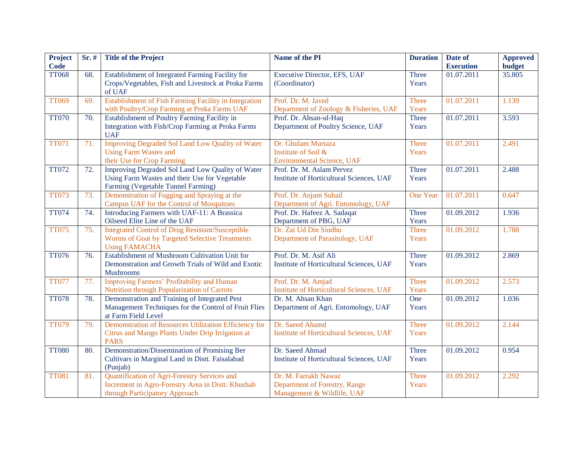| <b>Project</b><br><b>Code</b> | Sr. # | <b>Title of the Project</b>                                                                             | Name of the PI                                              | <b>Duration</b> | Date of<br><b>Execution</b> | <b>Approved</b><br><b>budget</b> |
|-------------------------------|-------|---------------------------------------------------------------------------------------------------------|-------------------------------------------------------------|-----------------|-----------------------------|----------------------------------|
| <b>TT068</b>                  | 68.   | Establishment of Integrated Farming Facility for<br>Crops/Vegetables, Fish and Livestock at Proka Farms | Executive Director, EFS, UAF<br>(Coordinator)               | Three<br>Years  | $\overline{01.07}$ .2011    | 35.805                           |
|                               |       | of UAF                                                                                                  |                                                             |                 |                             |                                  |
| <b>TT069</b>                  | 69.   | Establishment of Fish Farming Facility in Integration                                                   | Prof. Dr. M. Javed                                          | Three           | 01.07.2011                  | 1.139                            |
|                               |       | with Poultry/Crop Farming at Proka Farms UAF                                                            | Department of Zoology & Fisheries, UAF                      | Years           |                             |                                  |
| <b>TT070</b>                  | 70.   | Establishment of Poultry Farming Facility in                                                            | Prof. Dr. Ahsan-ul-Haq                                      | Three           | 01.07.2011                  | 3.593                            |
|                               |       | Integration with Fish/Crop Farming at Proka Farms<br><b>UAF</b>                                         | Department of Poultry Science, UAF                          | Years           |                             |                                  |
| <b>TT071</b>                  | 71.   | <b>Improving Degraded Sol Land Low Quality of Water</b>                                                 | Dr. Ghulam Murtaza                                          | Three           | 01.07.2011                  | 2.491                            |
|                               |       | <b>Using Farm Wastes and</b>                                                                            | Institute of Soil &                                         | Years           |                             |                                  |
|                               |       | their Use for Crop Farming                                                                              | <b>Environmental Science, UAF</b>                           |                 |                             |                                  |
| <b>TT072</b>                  | 72.   | Improving Degraded Sol Land Low Quality of Water                                                        | Prof. Dr. M. Aslam Pervez                                   | Three           | 01.07.2011                  | 2.488                            |
|                               |       | Using Farm Wastes and their Use for Vegetable<br>Farming (Vegetable Tunnel Farming)                     | Institute of Horticultural Sciences, UAF                    | Years           |                             |                                  |
| <b>TT073</b>                  | 73.   | Demonstration of Fogging and Spraying at the                                                            | Prof. Dr. Anjum Suhail                                      | One Year        | 01.07.2011                  | 0.647                            |
|                               |       | Campus UAF for the Control of Mosquitoes                                                                | Department of Agri. Entomology, UAF                         |                 |                             |                                  |
| <b>TT074</b>                  | 74.   | Introducing Farmers with UAF-11: A Brassica                                                             | Prof. Dr. Hafeez A. Sadaqat                                 | Three           | 01.09.2012                  | 1.936                            |
|                               |       | Oilseed Elite Line of the UAF                                                                           | Department of PBG, UAF                                      | Years           |                             |                                  |
| <b>TT075</b>                  | 75.   | <b>Integrated Control of Drug Resistant/Susceptible</b>                                                 | Dr. Zai Ud Din Sindhu                                       | <b>Three</b>    | 01.09.2012                  | 1.788                            |
|                               |       | Worms of Goat by Targeted Selective Treatments<br><b>Using FAMACHA</b>                                  | Department of Parasitology, UAF                             | Years           |                             |                                  |
| <b>TT076</b>                  | 76.   | Establishment of Mushroom Cultivation Unit for                                                          | Prof. Dr. M. Asif Ali                                       | Three           | 01.09.2012                  | 2.869                            |
|                               |       | Demonstration and Growth Trials of Wild and Exotic                                                      | Institute of Horticultural Sciences, UAF                    | Years           |                             |                                  |
|                               |       | <b>Mushrooms</b>                                                                                        |                                                             |                 |                             |                                  |
| <b>TT077</b>                  | 77.   | Improving Farmers' Profitability and Human                                                              | Prof. Dr. M. Amjad                                          | Three           | 01.09.2012                  | 2.573                            |
|                               |       | Nutrition through Popularization of Carrots                                                             | <b>Institute of Horticultural Sciences, UAF</b>             | Years           |                             |                                  |
| <b>TT078</b>                  | 78.   | Demonstration and Training of Integrated Pest                                                           | Dr. M. Ahsan Khan                                           | One             | 01.09.2012                  | 1.036                            |
|                               |       | Management Techniques for the Control of Fruit Flies<br>at Farm Field Level                             | Department of Agri. Entomology, UAF                         | Years           |                             |                                  |
| <b>TT079</b>                  | 79.   | Demonstration of Resources Utilization Efficiency for                                                   | Dr. Saeed Ahamd                                             | Three           | 01.09.2012                  | 2.144                            |
|                               |       | Citrus and Mango Plants Under Drip Irrigation at<br><b>PARS</b>                                         | <b>Institute of Horticultural Sciences, UAF</b>             | Years           |                             |                                  |
| <b>TT080</b>                  | 80.   | Demonstration/Dissemination of Promising Ber                                                            | Dr. Saeed Ahmad                                             | Three           | 01.09.2012                  | 0.954                            |
|                               |       | Cultivars in Marginal Land in Distt. Faisalabad<br>(Punjab)                                             | Institute of Horticultural Sciences, UAF                    | Years           |                             |                                  |
| <b>TT081</b>                  | 81.   | Quantification of Agri-Forestry Services and                                                            | Dr. M. Farrakh Nawaz                                        | Three           | 01.09.2012                  | 2.292                            |
|                               |       | Increment in Agro-Forestry Area in Distt. Khushab<br>through Participatory Approach                     | Department of Forestry, Range<br>Management & Wildlife, UAF | Years           |                             |                                  |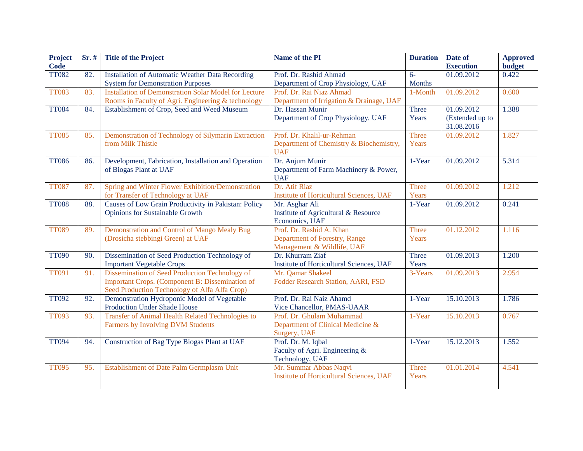| Project      | Sr. # | <b>Title of the Project</b>                                                        | <b>Name of the PI</b>                                   | <b>Duration</b> | Date of          | <b>Approved</b> |
|--------------|-------|------------------------------------------------------------------------------------|---------------------------------------------------------|-----------------|------------------|-----------------|
| <b>Code</b>  |       |                                                                                    |                                                         |                 | <b>Execution</b> | <b>budget</b>   |
| <b>TT082</b> | 82.   | <b>Installation of Automatic Weather Data Recording</b>                            | Prof. Dr. Rashid Ahmad                                  | $6-$            | 01.09.2012       | 0.422           |
|              |       | <b>System for Demonstration Purposes</b>                                           | Department of Crop Physiology, UAF                      | <b>Months</b>   |                  |                 |
| <b>TT083</b> | 83.   | <b>Installation of Demonstration Solar Model for Lecture</b>                       | Prof. Dr. Rai Niaz Ahmad                                | 1-Month         | 01.09.2012       | 0.600           |
|              |       | Rooms in Faculty of Agri. Engineering & technology                                 | Department of Irrigation & Drainage, UAF                |                 |                  |                 |
| <b>TT084</b> | 84.   | Establishment of Crop, Seed and Weed Museum                                        | Dr. Hassan Munir                                        | Three           | 01.09.2012       | 1.388           |
|              |       |                                                                                    | Department of Crop Physiology, UAF                      | Years           | (Extended up to  |                 |
|              |       |                                                                                    |                                                         |                 | 31.08.2016       |                 |
| <b>TT085</b> | 85.   | Demonstration of Technology of Silymarin Extraction                                | Prof. Dr. Khalil-ur-Rehman                              | Three           | 01.09.2012       | 1.827           |
|              |       | from Milk Thistle                                                                  | Department of Chemistry & Biochemistry,                 | Years           |                  |                 |
|              |       |                                                                                    | <b>UAF</b>                                              |                 |                  |                 |
| <b>TT086</b> | 86.   | Development, Fabrication, Installation and Operation                               | Dr. Anjum Munir                                         | 1-Year          | 01.09.2012       | 5.314           |
|              |       | of Biogas Plant at UAF                                                             | Department of Farm Machinery & Power,                   |                 |                  |                 |
|              |       |                                                                                    | <b>UAF</b>                                              |                 |                  |                 |
| <b>TT087</b> | 87.   | Spring and Winter Flower Exhibition/Demonstration                                  | Dr. Atif Riaz                                           | Three           | 01.09.2012       | 1.212           |
|              |       | for Transfer of Technology at UAF                                                  | <b>Institute of Horticultural Sciences, UAF</b>         | Years           |                  |                 |
| <b>TT088</b> | 88.   | Causes of Low Grain Productivity in Pakistan: Policy                               | Mr. Asghar Ali                                          | 1-Year          | 01.09.2012       | 0.241           |
|              |       | Opinions for Sustainable Growth                                                    | Institute of Agricultural & Resource                    |                 |                  |                 |
|              |       |                                                                                    | Economics, UAF                                          |                 |                  |                 |
| <b>TT089</b> | 89.   | Demonstration and Control of Mango Mealy Bug                                       | Prof. Dr. Rashid A. Khan                                | <b>Three</b>    | 01.12.2012       | 1.116           |
|              |       | (Drosicha stebbingi Green) at UAF                                                  | Department of Forestry, Range                           | Years           |                  |                 |
|              |       |                                                                                    | Management & Wildlife, UAF                              |                 |                  |                 |
| <b>TT090</b> | 90.   | Dissemination of Seed Production Technology of                                     | Dr. Khurram Ziaf                                        | Three           | 01.09.2013       | 1.200           |
|              |       | <b>Important Vegetable Crops</b><br>Dissemination of Seed Production Technology of | Institute of Horticultural Sciences, UAF                | Years           | 01.09.2013       |                 |
| <b>TT091</b> | 91.   | Important Crops. (Component B: Dissemination of                                    | Mr. Qamar Shakeel<br>Fodder Research Station, AARI, FSD | 3-Years         |                  | 2.954           |
|              |       | Seed Production Technology of Alfa Alfa Crop)                                      |                                                         |                 |                  |                 |
| <b>TT092</b> | 92.   | Demonstration Hydroponic Model of Vegetable                                        | Prof. Dr. Rai Naiz Ahamd                                | 1-Year          | 15.10.2013       | 1.786           |
|              |       | Production Under Shade House                                                       | Vice Chancellor, PMAS-UAAR                              |                 |                  |                 |
| <b>TT093</b> | 93.   | <b>Transfer of Animal Health Related Technologies to</b>                           | Prof. Dr. Ghulam Muhammad                               | 1-Year          | 15.10.2013       | 0.767           |
|              |       | Farmers by Involving DVM Students                                                  | Department of Clinical Medicine &                       |                 |                  |                 |
|              |       |                                                                                    | Surgery, UAF                                            |                 |                  |                 |
| <b>TT094</b> | 94.   | Construction of Bag Type Biogas Plant at UAF                                       | Prof. Dr. M. Iqbal                                      | 1-Year          | 15.12.2013       | 1.552           |
|              |       |                                                                                    | Faculty of Agri. Engineering &                          |                 |                  |                 |
|              |       |                                                                                    | Technology, UAF                                         |                 |                  |                 |
| <b>TT095</b> | 95.   | Establishment of Date Palm Germplasm Unit                                          | Mr. Summar Abbas Naqvi                                  | <b>Three</b>    | 01.01.2014       | 4.541           |
|              |       |                                                                                    | <b>Institute of Horticultural Sciences, UAF</b>         | Years           |                  |                 |
|              |       |                                                                                    |                                                         |                 |                  |                 |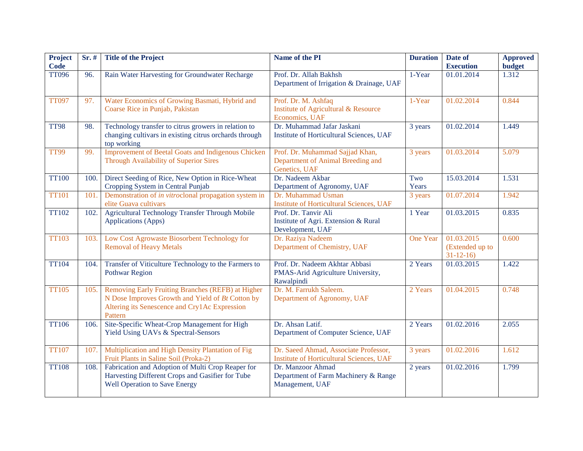| <b>Project</b><br><b>Code</b> | $Sr.$ # | <b>Title of the Project</b>                                                                                                                                       | Name of the PI                                                                           | <b>Duration</b> | Date of<br><b>Execution</b>                     | <b>Approved</b><br><b>budget</b> |
|-------------------------------|---------|-------------------------------------------------------------------------------------------------------------------------------------------------------------------|------------------------------------------------------------------------------------------|-----------------|-------------------------------------------------|----------------------------------|
| <b>TT096</b>                  | 96.     | Rain Water Harvesting for Groundwater Recharge                                                                                                                    | Prof. Dr. Allah Bakhsh<br>Department of Irrigation & Drainage, UAF                       | 1-Year          | 01.01.2014                                      | 1.312                            |
| <b>TT097</b>                  | 97.     | Water Economics of Growing Basmati, Hybrid and<br>Coarse Rice in Punjab, Pakistan                                                                                 | Prof. Dr. M. Ashfaq<br>Institute of Agricultural & Resource<br>Economics, UAF            | 1-Year          | 01.02.2014                                      | 0.844                            |
| <b>TT98</b>                   | 98.     | Technology transfer to citrus growers in relation to<br>changing cultivars in existing citrus orchards through<br>top working                                     | Dr. Muhammad Jafar Jaskani<br>Institute of Horticultural Sciences, UAF                   | 3 years         | 01.02.2014                                      | 1.449                            |
| <b>TT99</b>                   | 99.     | <b>Improvement of Beetal Goats and Indigenous Chicken</b><br>Through Availability of Superior Sires                                                               | Prof. Dr. Muhammad Sajjad Khan,<br>Department of Animal Breeding and<br>Genetics, UAF    | 3 years         | 01.03.2014                                      | 5.079                            |
| <b>TT100</b>                  | 100.    | Direct Seeding of Rice, New Option in Rice-Wheat<br>Cropping System in Central Punjab                                                                             | Dr. Nadeem Akbar<br>Department of Agronomy, UAF                                          | Two<br>Years    | 15.03.2014                                      | 1.531                            |
| <b>TT101</b>                  | 101     | Demonstration of in vitroclonal propagation system in<br>elite Guava cultivars                                                                                    | Dr. Muhammad Usman<br><b>Institute of Horticultural Sciences, UAF</b>                    | 3 years         | 01.07.2014                                      | 1.942                            |
| <b>TT102</b>                  | 102.    | <b>Agricultural Technology Transfer Through Mobile</b><br>Applications (Apps)                                                                                     | Prof. Dr. Tanvir Ali<br>Institute of Agri. Extension & Rural<br>Development, UAF         | 1 Year          | 01.03.2015                                      | 0.835                            |
| <b>TT103</b>                  | 103.    | Low Cost Agrowaste Biosorbent Technology for<br><b>Removal of Heavy Metals</b>                                                                                    | Dr. Raziya Nadeem<br>Department of Chemistry, UAF                                        | One Year        | 01.03.2015<br>(Extended up to<br>$31 - 12 - 16$ | 0.600                            |
| <b>TT104</b>                  | 104.    | Transfer of Viticulture Technology to the Farmers to<br><b>Pothwar Region</b>                                                                                     | Prof. Dr. Nadeem Akhtar Abbasi<br>PMAS-Arid Agriculture University,<br>Rawalpindi        | 2 Years         | 01.03.2015                                      | 1.422                            |
| <b>TT105</b>                  | 105.    | Removing Early Fruiting Branches (REFB) at Higher<br>N Dose Improves Growth and Yield of Bt Cotton by<br>Altering its Senescence and Cry1Ac Expression<br>Pattern | Dr. M. Farrukh Saleem.<br>Department of Agronomy, UAF                                    | 2 Years         | 01.04.2015                                      | 0.748                            |
| <b>TT106</b>                  | 106.    | Site-Specific Wheat-Crop Management for High<br>Yield Using UAVs & Spectral-Sensors                                                                               | Dr. Ahsan Latif.<br>Department of Computer Science, UAF                                  | 2 Years         | 01.02.2016                                      | 2.055                            |
| <b>TT107</b>                  | 107.    | Multiplication and High Density Plantation of Fig<br>Fruit Plants in Saline Soil (Proka-2)                                                                        | Dr. Saeed Ahmad, Associate Professor,<br><b>Institute of Horticultural Sciences, UAF</b> | 3 years         | 01.02.2016                                      | 1.612                            |
| <b>TT108</b>                  | 108.    | Fabrication and Adoption of Multi Crop Reaper for<br>Harvesting Different Crops and Gasifier for Tube<br><b>Well Operation to Save Energy</b>                     | Dr. Manzoor Ahmad<br>Department of Farm Machinery & Range<br>Management, UAF             | 2 years         | 01.02.2016                                      | 1.799                            |